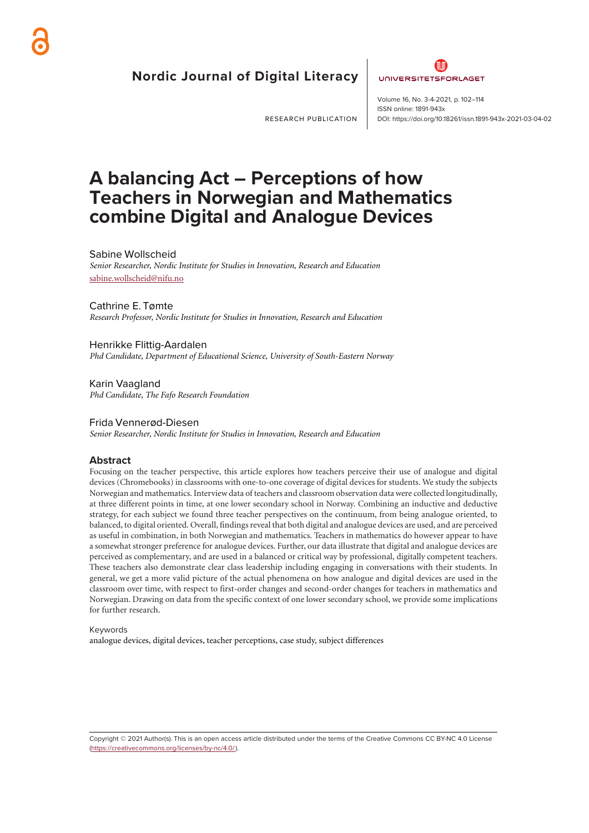# **Nordic Journal of Digital Literacy**



RESEARCH PUBLICATION

**ISSN** online: 1891-943x DOI: https://doi.org/10.18261/issn.1891-943x-2021-03-04-02 Volume 16, No. 3-4-2021, p. 102–114

# **A balancing Act – Perceptions of how Teachers in Norwegian and Mathematics combine Digital and Analogue Devices**

#### Sabine Wollscheid

*Senior Researcher, Nordic Institute for Studies in Innovation, Research and Education* sabine.wollscheid@nifu.no

#### Cathrine E. Tømte

*Research Professor, Nordic Institute for Studies in Innovation, Research and Education*

Henrikke Flittig-Aardalen *Phd Candidate, Department of Educational Science, University of South-Eastern Norway*

Karin Vaagland *Phd Candidate, The Fafo Research Foundation*

#### Frida Vennerød-Diesen *Senior Researcher, Nordic Institute for Studies in Innovation, Research and Education*

#### **Abstract**

Focusing on the teacher perspective, this article explores how teachers perceive their use of analogue and digital devices (Chromebooks) in classrooms with one-to-one coverage of digital devices for students. We study the subjects Norwegian and mathematics. Interview data of teachers and classroom observation data were collected longitudinally, at three different points in time, at one lower secondary school in Norway. Combining an inductive and deductive strategy, for each subject we found three teacher perspectives on the continuum, from being analogue oriented, to balanced, to digital oriented. Overall, findings reveal that both digital and analogue devices are used, and are perceived as useful in combination, in both Norwegian and mathematics. Teachers in mathematics do however appear to have a somewhat stronger preference for analogue devices. Further, our data illustrate that digital and analogue devices are perceived as complementary, and are used in a balanced or critical way by professional, digitally competent teachers. These teachers also demonstrate clear class leadership including engaging in conversations with their students. In general, we get a more valid picture of the actual phenomena on how analogue and digital devices are used in the classroom over time, with respect to first-order changes and second-order changes for teachers in mathematics and Norwegian. Drawing on data from the specific context of one lower secondary school, we provide some implications for further research.

#### Keywords

analogue devices, digital devices, teacher perceptions, case study, subject differences

Copyright © 2021 Author(s). This is an open access article distributed under the terms of the Creative Commons CC BY-NC 4.0 License [\(https://creativecommons.org/licenses/by-nc/4.0/](https://creativecommons.org/licenses/by-nc/4.0/)).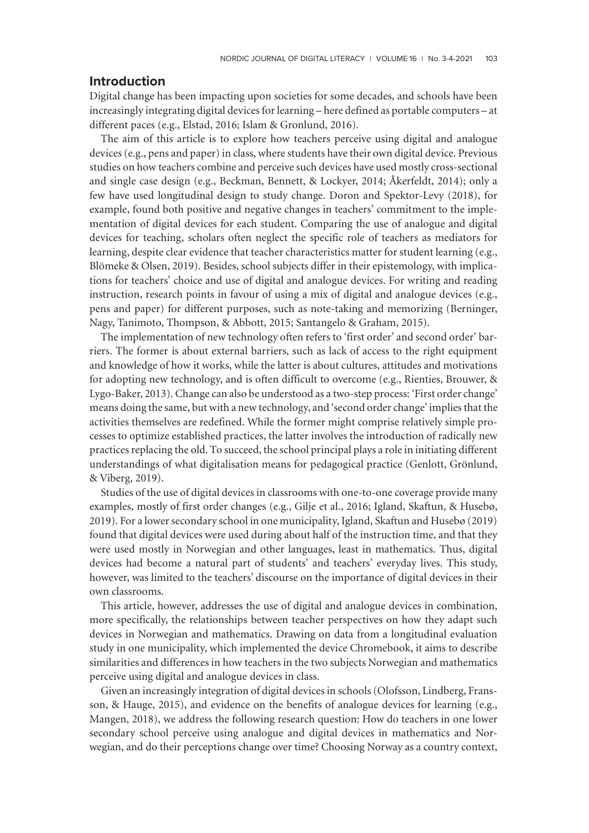# **Introduction**

Digital change has been impacting upon societies for some decades, and schools have been increasingly integrating digital devices for learning – here defined as portable computers – at different paces (e.g., Elstad, 2016; Islam & Gronlund, 2016).

The aim of this article is to explore how teachers perceive using digital and analogue devices (e.g., pens and paper) in class, where students have their own digital device. Previous studies on how teachers combine and perceive such devices have used mostly cross-sectional and single case design (e.g., Beckman, Bennett, & Lockyer, 2014; Åkerfeldt, 2014); only a few have used longitudinal design to study change. Doron and Spektor-Levy (2018), for example, found both positive and negative changes in teachers' commitment to the implementation of digital devices for each student. Comparing the use of analogue and digital devices for teaching, scholars often neglect the specific role of teachers as mediators for learning, despite clear evidence that teacher characteristics matter for student learning (e.g., Blömeke & Olsen, 2019). Besides, school subjects differ in their epistemology, with implications for teachers' choice and use of digital and analogue devices. For writing and reading instruction, research points in favour of using a mix of digital and analogue devices (e.g., pens and paper) for different purposes, such as note-taking and memorizing (Berninger, Nagy, Tanimoto, Thompson, & Abbott, 2015; Santangelo & Graham, 2015).

The implementation of new technology often refers to 'first order' and second order' barriers. The former is about external barriers, such as lack of access to the right equipment and knowledge of how it works, while the latter is about cultures, attitudes and motivations for adopting new technology, and is often difficult to overcome (e.g., Rienties, Brouwer, & Lygo-Baker, 2013). Change can also be understood as a two-step process: 'First order change' means doing the same, but with a new technology, and 'second order change' implies that the activities themselves are redefined. While the former might comprise relatively simple processes to optimize established practices, the latter involves the introduction of radically new practices replacing the old. To succeed, the school principal plays a role in initiating different understandings of what digitalisation means for pedagogical practice (Genlott, Grönlund, & Viberg, 2019).

Studies of the use of digital devices in classrooms with one-to-one coverage provide many examples, mostly of first order changes (e.g., Gilje et al., 2016; Igland, Skaftun, & Husebø, 2019). For a lower secondary school in one municipality, Igland, Skaftun and Husebø (2019) found that digital devices were used during about half of the instruction time, and that they were used mostly in Norwegian and other languages, least in mathematics. Thus, digital devices had become a natural part of students' and teachers' everyday lives. This study, however, was limited to the teachers' discourse on the importance of digital devices in their own classrooms.

This article, however, addresses the use of digital and analogue devices in combination, more specifically, the relationships between teacher perspectives on how they adapt such devices in Norwegian and mathematics. Drawing on data from a longitudinal evaluation study in one municipality, which implemented the device Chromebook, it aims to describe similarities and differences in how teachers in the two subjects Norwegian and mathematics perceive using digital and analogue devices in class.

Given an increasingly integration of digital devices in schools (Olofsson, Lindberg, Fransson, & Hauge, 2015), and evidence on the benefits of analogue devices for learning (e.g., Mangen, 2018), we address the following research question: How do teachers in one lower secondary school perceive using analogue and digital devices in mathematics and Norwegian, and do their perceptions change over time? Choosing Norway as a country context,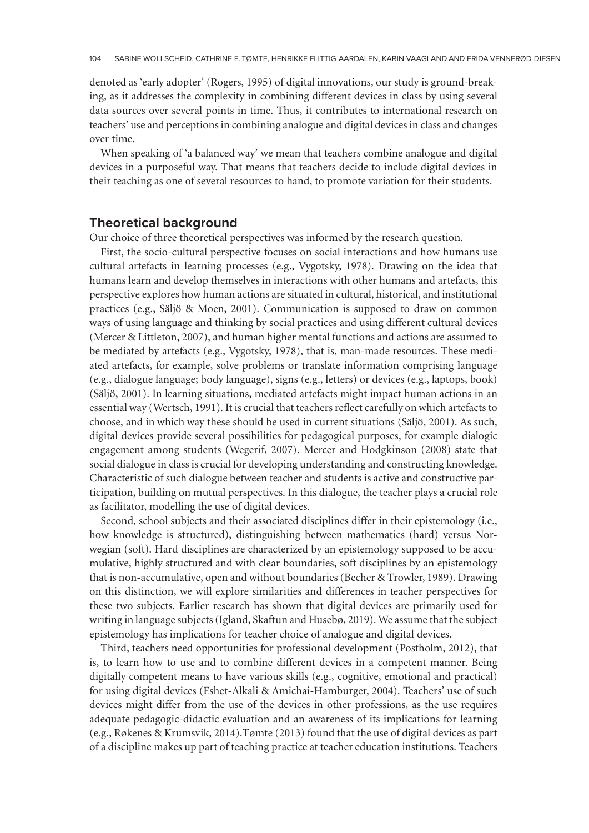denoted as 'early adopter' (Rogers, 1995) of digital innovations, our study is ground-breaking, as it addresses the complexity in combining different devices in class by using several data sources over several points in time. Thus, it contributes to international research on teachers' use and perceptions in combining analogue and digital devices in class and changes over time.

When speaking of 'a balanced way' we mean that teachers combine analogue and digital devices in a purposeful way. That means that teachers decide to include digital devices in their teaching as one of several resources to hand, to promote variation for their students.

# **Theoretical background**

Our choice of three theoretical perspectives was informed by the research question.

First, the socio-cultural perspective focuses on social interactions and how humans use cultural artefacts in learning processes (e.g., Vygotsky, 1978). Drawing on the idea that humans learn and develop themselves in interactions with other humans and artefacts, this perspective explores how human actions are situated in cultural, historical, and institutional practices (e.g., Säljö & Moen, 2001). Communication is supposed to draw on common ways of using language and thinking by social practices and using different cultural devices (Mercer & Littleton, 2007), and human higher mental functions and actions are assumed to be mediated by artefacts (e.g., Vygotsky, 1978), that is, man-made resources. These mediated artefacts, for example, solve problems or translate information comprising language (e.g., dialogue language; body language), signs (e.g., letters) or devices (e.g., laptops, book) (Säljö, 2001). In learning situations, mediated artefacts might impact human actions in an essential way (Wertsch, 1991). It is crucial that teachers reflect carefully on which artefacts to choose, and in which way these should be used in current situations (Säljö, 2001). As such, digital devices provide several possibilities for pedagogical purposes, for example dialogic engagement among students (Wegerif, 2007). Mercer and Hodgkinson (2008) state that social dialogue in class is crucial for developing understanding and constructing knowledge. Characteristic of such dialogue between teacher and students is active and constructive participation, building on mutual perspectives. In this dialogue, the teacher plays a crucial role as facilitator, modelling the use of digital devices.

Second, school subjects and their associated disciplines differ in their epistemology (i.e., how knowledge is structured), distinguishing between mathematics (hard) versus Norwegian (soft). Hard disciplines are characterized by an epistemology supposed to be accumulative, highly structured and with clear boundaries, soft disciplines by an epistemology that is non-accumulative, open and without boundaries (Becher & Trowler, 1989). Drawing on this distinction, we will explore similarities and differences in teacher perspectives for these two subjects. Earlier research has shown that digital devices are primarily used for writing in language subjects (Igland, Skaftun and Husebø, 2019). We assume that the subject epistemology has implications for teacher choice of analogue and digital devices.

Third, teachers need opportunities for professional development (Postholm, 2012), that is, to learn how to use and to combine different devices in a competent manner. Being digitally competent means to have various skills (e.g., cognitive, emotional and practical) for using digital devices (Eshet-Alkali & Amichai-Hamburger, 2004). Teachers' use of such devices might differ from the use of the devices in other professions, as the use requires adequate pedagogic-didactic evaluation and an awareness of its implications for learning (e.g., Røkenes & Krumsvik, 2014).Tømte (2013) found that the use of digital devices as part of a discipline makes up part of teaching practice at teacher education institutions. Teachers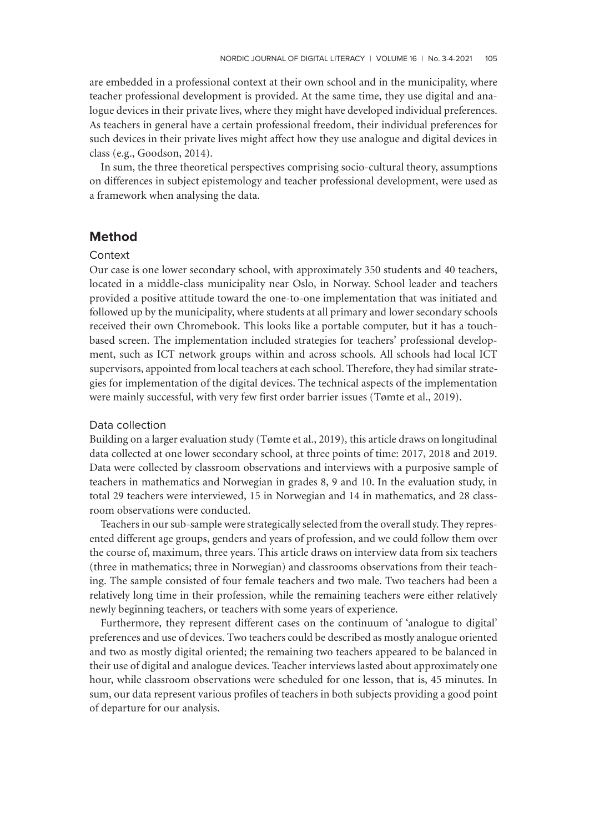are embedded in a professional context at their own school and in the municipality, where teacher professional development is provided. At the same time, they use digital and analogue devices in their private lives, where they might have developed individual preferences. As teachers in general have a certain professional freedom, their individual preferences for such devices in their private lives might affect how they use analogue and digital devices in class (e.g., Goodson, 2014).

In sum, the three theoretical perspectives comprising socio-cultural theory, assumptions on differences in subject epistemology and teacher professional development, were used as a framework when analysing the data.

# **Method**

## **Context**

Our case is one lower secondary school, with approximately 350 students and 40 teachers, located in a middle-class municipality near Oslo, in Norway. School leader and teachers provided a positive attitude toward the one-to-one implementation that was initiated and followed up by the municipality, where students at all primary and lower secondary schools received their own Chromebook. This looks like a portable computer, but it has a touchbased screen. The implementation included strategies for teachers' professional development, such as ICT network groups within and across schools. All schools had local ICT supervisors, appointed from local teachers at each school. Therefore, they had similar strategies for implementation of the digital devices. The technical aspects of the implementation were mainly successful, with very few first order barrier issues (Tømte et al., 2019).

## Data collection

Building on a larger evaluation study (Tømte et al., 2019), this article draws on longitudinal data collected at one lower secondary school, at three points of time: 2017, 2018 and 2019. Data were collected by classroom observations and interviews with a purposive sample of teachers in mathematics and Norwegian in grades 8, 9 and 10. In the evaluation study, in total 29 teachers were interviewed, 15 in Norwegian and 14 in mathematics, and 28 classroom observations were conducted.

Teachers in our sub-sample were strategically selected from the overall study. They represented different age groups, genders and years of profession, and we could follow them over the course of, maximum, three years. This article draws on interview data from six teachers (three in mathematics; three in Norwegian) and classrooms observations from their teaching. The sample consisted of four female teachers and two male. Two teachers had been a relatively long time in their profession, while the remaining teachers were either relatively newly beginning teachers, or teachers with some years of experience.

Furthermore, they represent different cases on the continuum of 'analogue to digital' preferences and use of devices. Two teachers could be described as mostly analogue oriented and two as mostly digital oriented; the remaining two teachers appeared to be balanced in their use of digital and analogue devices. Teacher interviews lasted about approximately one hour, while classroom observations were scheduled for one lesson, that is, 45 minutes. In sum, our data represent various profiles of teachers in both subjects providing a good point of departure for our analysis.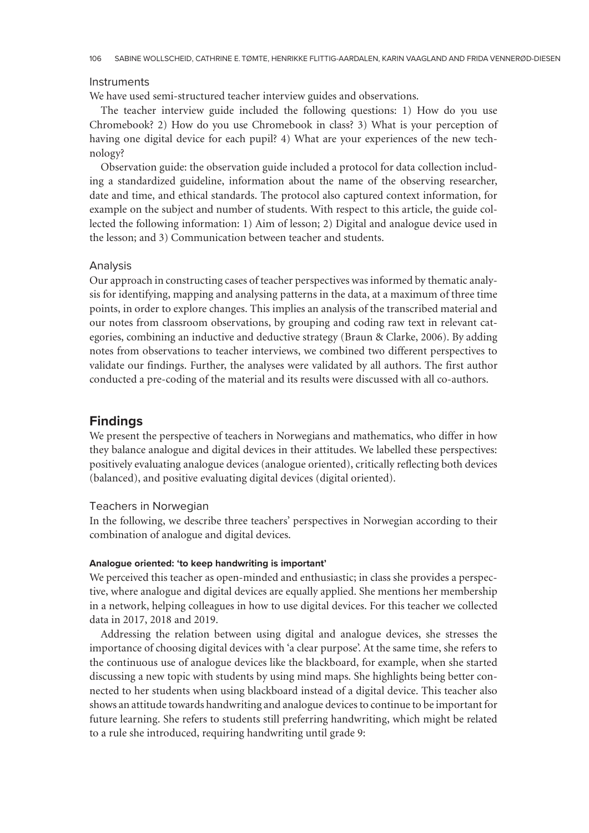### **Instruments**

We have used semi-structured teacher interview guides and observations.

The teacher interview guide included the following questions: 1) How do you use Chromebook? 2) How do you use Chromebook in class? 3) What is your perception of having one digital device for each pupil? 4) What are your experiences of the new technology?

Observation guide: the observation guide included a protocol for data collection including a standardized guideline, information about the name of the observing researcher, date and time, and ethical standards. The protocol also captured context information, for example on the subject and number of students. With respect to this article, the guide collected the following information: 1) Aim of lesson; 2) Digital and analogue device used in the lesson; and 3) Communication between teacher and students.

#### Analysis

Our approach in constructing cases of teacher perspectives was informed by thematic analysis for identifying, mapping and analysing patterns in the data, at a maximum of three time points, in order to explore changes. This implies an analysis of the transcribed material and our notes from classroom observations, by grouping and coding raw text in relevant categories, combining an inductive and deductive strategy (Braun & Clarke, 2006). By adding notes from observations to teacher interviews, we combined two different perspectives to validate our findings. Further, the analyses were validated by all authors. The first author conducted a pre-coding of the material and its results were discussed with all co-authors.

## **Findings**

We present the perspective of teachers in Norwegians and mathematics, who differ in how they balance analogue and digital devices in their attitudes. We labelled these perspectives: positively evaluating analogue devices (analogue oriented), critically reflecting both devices (balanced), and positive evaluating digital devices (digital oriented).

## Teachers in Norwegian

In the following, we describe three teachers' perspectives in Norwegian according to their combination of analogue and digital devices.

## **Analogue oriented: 'to keep handwriting is important'**

We perceived this teacher as open-minded and enthusiastic; in class she provides a perspective, where analogue and digital devices are equally applied. She mentions her membership in a network, helping colleagues in how to use digital devices. For this teacher we collected data in 2017, 2018 and 2019.

Addressing the relation between using digital and analogue devices, she stresses the importance of choosing digital devices with 'a clear purpose'. At the same time, she refers to the continuous use of analogue devices like the blackboard, for example, when she started discussing a new topic with students by using mind maps. She highlights being better connected to her students when using blackboard instead of a digital device. This teacher also shows an attitude towards handwriting and analogue devices to continue to be important for future learning. She refers to students still preferring handwriting, which might be related to a rule she introduced, requiring handwriting until grade 9: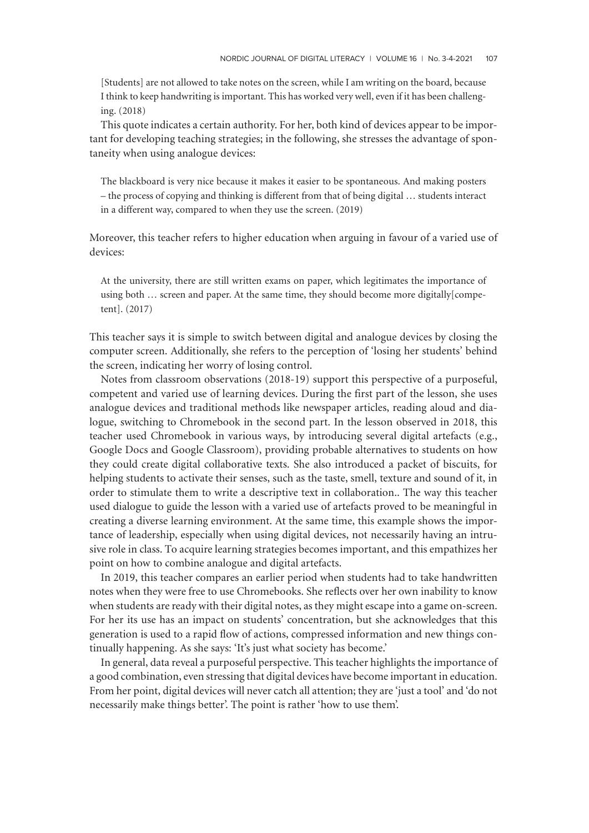[Students] are not allowed to take notes on the screen, while I am writing on the board, because I think to keep handwriting is important. This has worked very well, even if it has been challenging. (2018)

This quote indicates a certain authority. For her, both kind of devices appear to be important for developing teaching strategies; in the following, she stresses the advantage of spontaneity when using analogue devices:

The blackboard is very nice because it makes it easier to be spontaneous. And making posters – the process of copying and thinking is different from that of being digital … students interact in a different way, compared to when they use the screen. (2019)

Moreover, this teacher refers to higher education when arguing in favour of a varied use of devices:

At the university, there are still written exams on paper, which legitimates the importance of using both … screen and paper. At the same time, they should become more digitally[competent]. (2017)

This teacher says it is simple to switch between digital and analogue devices by closing the computer screen. Additionally, she refers to the perception of 'losing her students' behind the screen, indicating her worry of losing control.

Notes from classroom observations (2018-19) support this perspective of a purposeful, competent and varied use of learning devices. During the first part of the lesson, she uses analogue devices and traditional methods like newspaper articles, reading aloud and dialogue, switching to Chromebook in the second part. In the lesson observed in 2018, this teacher used Chromebook in various ways, by introducing several digital artefacts (e.g., Google Docs and Google Classroom), providing probable alternatives to students on how they could create digital collaborative texts. She also introduced a packet of biscuits, for helping students to activate their senses, such as the taste, smell, texture and sound of it, in order to stimulate them to write a descriptive text in collaboration.. The way this teacher used dialogue to guide the lesson with a varied use of artefacts proved to be meaningful in creating a diverse learning environment. At the same time, this example shows the importance of leadership, especially when using digital devices, not necessarily having an intrusive role in class. To acquire learning strategies becomes important, and this empathizes her point on how to combine analogue and digital artefacts.

In 2019, this teacher compares an earlier period when students had to take handwritten notes when they were free to use Chromebooks. She reflects over her own inability to know when students are ready with their digital notes, as they might escape into a game on-screen. For her its use has an impact on students' concentration, but she acknowledges that this generation is used to a rapid flow of actions, compressed information and new things continually happening. As she says: 'It's just what society has become.'

In general, data reveal a purposeful perspective. This teacher highlights the importance of a good combination, even stressing that digital devices have become important in education. From her point, digital devices will never catch all attention; they are 'just a tool' and 'do not necessarily make things better'. The point is rather 'how to use them'.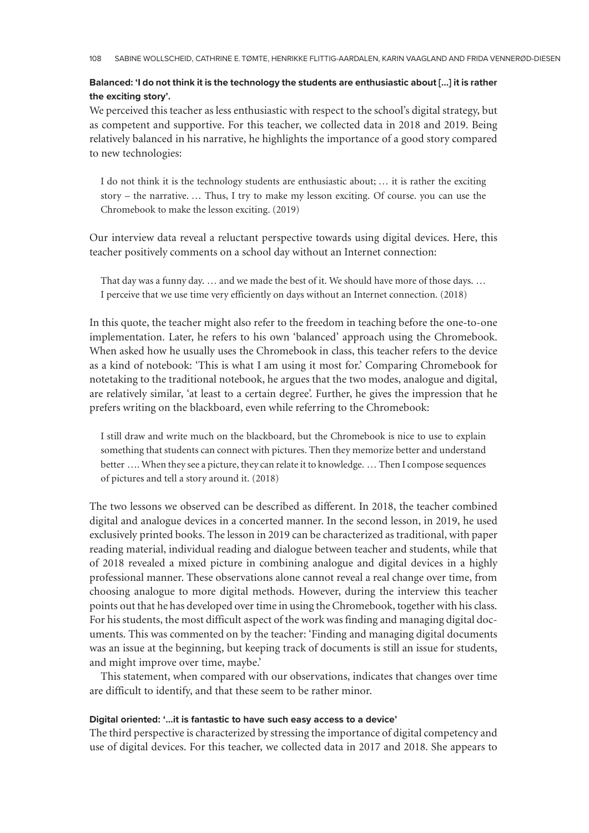## **Balanced: 'I do not think it is the technology the students are enthusiastic about […] it is rather the exciting story'.**

We perceived this teacher as less enthusiastic with respect to the school's digital strategy, but as competent and supportive. For this teacher, we collected data in 2018 and 2019. Being relatively balanced in his narrative, he highlights the importance of a good story compared to new technologies:

I do not think it is the technology students are enthusiastic about; … it is rather the exciting story – the narrative. … Thus, I try to make my lesson exciting. Of course. you can use the Chromebook to make the lesson exciting. (2019)

Our interview data reveal a reluctant perspective towards using digital devices. Here, this teacher positively comments on a school day without an Internet connection:

That day was a funny day. … and we made the best of it. We should have more of those days. … I perceive that we use time very efficiently on days without an Internet connection. (2018)

In this quote, the teacher might also refer to the freedom in teaching before the one-to-one implementation. Later, he refers to his own 'balanced' approach using the Chromebook. When asked how he usually uses the Chromebook in class, this teacher refers to the device as a kind of notebook: 'This is what I am using it most for.' Comparing Chromebook for notetaking to the traditional notebook, he argues that the two modes, analogue and digital, are relatively similar, 'at least to a certain degree'. Further, he gives the impression that he prefers writing on the blackboard, even while referring to the Chromebook:

I still draw and write much on the blackboard, but the Chromebook is nice to use to explain something that students can connect with pictures. Then they memorize better and understand better …. When they see a picture, they can relate it to knowledge. … Then I compose sequences of pictures and tell a story around it. (2018)

The two lessons we observed can be described as different. In 2018, the teacher combined digital and analogue devices in a concerted manner. In the second lesson, in 2019, he used exclusively printed books. The lesson in 2019 can be characterized as traditional, with paper reading material, individual reading and dialogue between teacher and students, while that of 2018 revealed a mixed picture in combining analogue and digital devices in a highly professional manner. These observations alone cannot reveal a real change over time, from choosing analogue to more digital methods. However, during the interview this teacher points out that he has developed over time in using the Chromebook, together with his class. For his students, the most difficult aspect of the work was finding and managing digital documents. This was commented on by the teacher: 'Finding and managing digital documents was an issue at the beginning, but keeping track of documents is still an issue for students, and might improve over time, maybe.'

This statement, when compared with our observations, indicates that changes over time are difficult to identify, and that these seem to be rather minor.

## **Digital oriented: '…it is fantastic to have such easy access to a device'**

The third perspective is characterized by stressing the importance of digital competency and use of digital devices. For this teacher, we collected data in 2017 and 2018. She appears to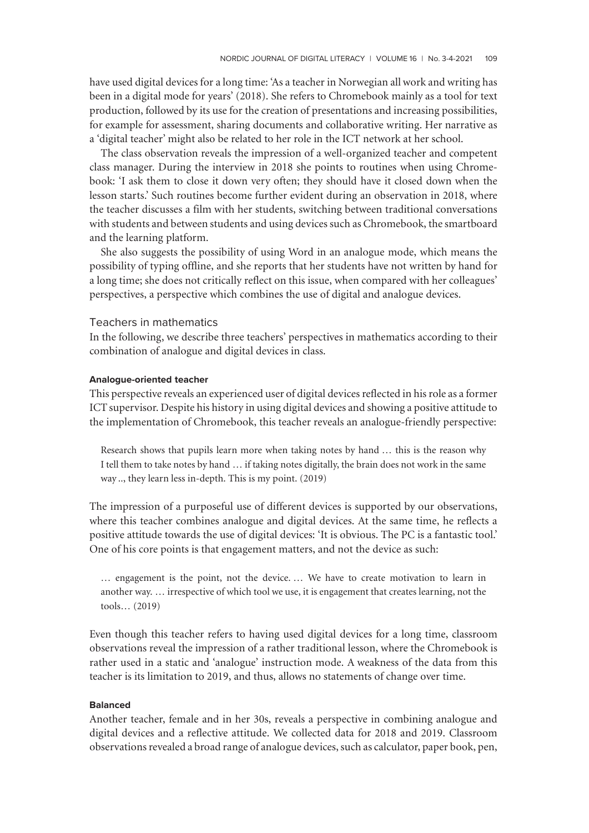have used digital devices for a long time: 'As a teacher in Norwegian all work and writing has been in a digital mode for years' (2018). She refers to Chromebook mainly as a tool for text production, followed by its use for the creation of presentations and increasing possibilities, for example for assessment, sharing documents and collaborative writing. Her narrative as a 'digital teacher' might also be related to her role in the ICT network at her school.

The class observation reveals the impression of a well-organized teacher and competent class manager. During the interview in 2018 she points to routines when using Chromebook: 'I ask them to close it down very often; they should have it closed down when the lesson starts.' Such routines become further evident during an observation in 2018, where the teacher discusses a film with her students, switching between traditional conversations with students and between students and using devices such as Chromebook, the smartboard and the learning platform.

She also suggests the possibility of using Word in an analogue mode, which means the possibility of typing offline, and she reports that her students have not written by hand for a long time; she does not critically reflect on this issue, when compared with her colleagues' perspectives, a perspective which combines the use of digital and analogue devices.

## Teachers in mathematics

In the following, we describe three teachers' perspectives in mathematics according to their combination of analogue and digital devices in class.

#### **Analogue-oriented teacher**

This perspective reveals an experienced user of digital devices reflected in his role as a former ICT supervisor. Despite his history in using digital devices and showing a positive attitude to the implementation of Chromebook, this teacher reveals an analogue-friendly perspective:

Research shows that pupils learn more when taking notes by hand … this is the reason why I tell them to take notes by hand … if taking notes digitally, the brain does not work in the same way .., they learn less in-depth. This is my point. (2019)

The impression of a purposeful use of different devices is supported by our observations, where this teacher combines analogue and digital devices. At the same time, he reflects a positive attitude towards the use of digital devices: 'It is obvious. The PC is a fantastic tool.' One of his core points is that engagement matters, and not the device as such:

… engagement is the point, not the device. … We have to create motivation to learn in another way. … irrespective of which tool we use, it is engagement that creates learning, not the tools… (2019)

Even though this teacher refers to having used digital devices for a long time, classroom observations reveal the impression of a rather traditional lesson, where the Chromebook is rather used in a static and 'analogue' instruction mode. A weakness of the data from this teacher is its limitation to 2019, and thus, allows no statements of change over time.

#### **Balanced**

Another teacher, female and in her 30s, reveals a perspective in combining analogue and digital devices and a reflective attitude. We collected data for 2018 and 2019. Classroom observations revealed a broad range of analogue devices, such as calculator, paper book, pen,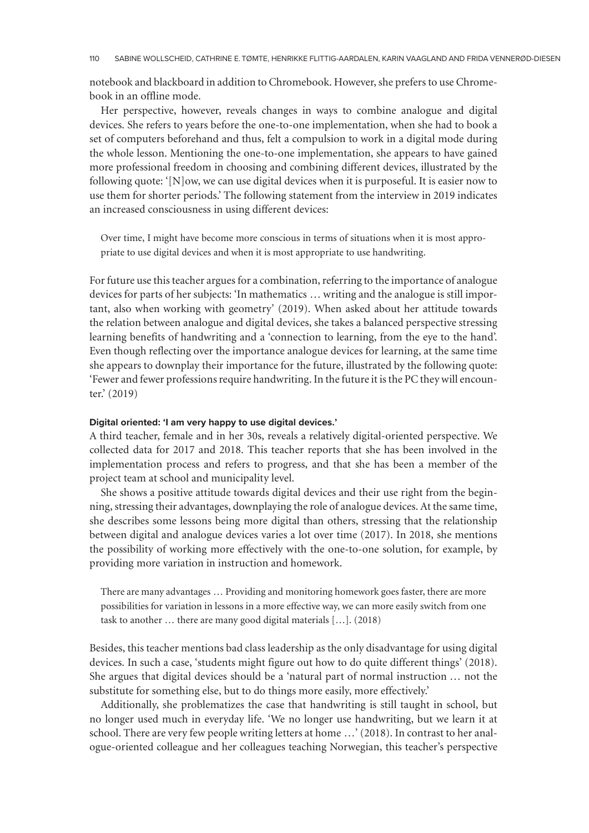notebook and blackboard in addition to Chromebook. However, she prefers to use Chromebook in an offline mode.

Her perspective, however, reveals changes in ways to combine analogue and digital devices. She refers to years before the one-to-one implementation, when she had to book a set of computers beforehand and thus, felt a compulsion to work in a digital mode during the whole lesson. Mentioning the one-to-one implementation, she appears to have gained more professional freedom in choosing and combining different devices, illustrated by the following quote: '[N]ow, we can use digital devices when it is purposeful. It is easier now to use them for shorter periods.' The following statement from the interview in 2019 indicates an increased consciousness in using different devices:

Over time, I might have become more conscious in terms of situations when it is most appropriate to use digital devices and when it is most appropriate to use handwriting.

For future use this teacher argues for a combination, referring to the importance of analogue devices for parts of her subjects: 'In mathematics … writing and the analogue is still important, also when working with geometry' (2019). When asked about her attitude towards the relation between analogue and digital devices, she takes a balanced perspective stressing learning benefits of handwriting and a 'connection to learning, from the eye to the hand'. Even though reflecting over the importance analogue devices for learning, at the same time she appears to downplay their importance for the future, illustrated by the following quote: 'Fewer and fewer professions require handwriting. In the future it is the PC they will encounter.' (2019)

### **Digital oriented: 'I am very happy to use digital devices.'**

A third teacher, female and in her 30s, reveals a relatively digital-oriented perspective. We collected data for 2017 and 2018. This teacher reports that she has been involved in the implementation process and refers to progress, and that she has been a member of the project team at school and municipality level.

She shows a positive attitude towards digital devices and their use right from the beginning, stressing their advantages, downplaying the role of analogue devices. At the same time, she describes some lessons being more digital than others, stressing that the relationship between digital and analogue devices varies a lot over time (2017). In 2018, she mentions the possibility of working more effectively with the one-to-one solution, for example, by providing more variation in instruction and homework.

There are many advantages … Providing and monitoring homework goes faster, there are more possibilities for variation in lessons in a more effective way, we can more easily switch from one task to another … there are many good digital materials […]. (2018)

Besides, this teacher mentions bad class leadership as the only disadvantage for using digital devices. In such a case, 'students might figure out how to do quite different things' (2018). She argues that digital devices should be a 'natural part of normal instruction … not the substitute for something else, but to do things more easily, more effectively.'

Additionally, she problematizes the case that handwriting is still taught in school, but no longer used much in everyday life. 'We no longer use handwriting, but we learn it at school. There are very few people writing letters at home …' (2018). In contrast to her analogue-oriented colleague and her colleagues teaching Norwegian, this teacher's perspective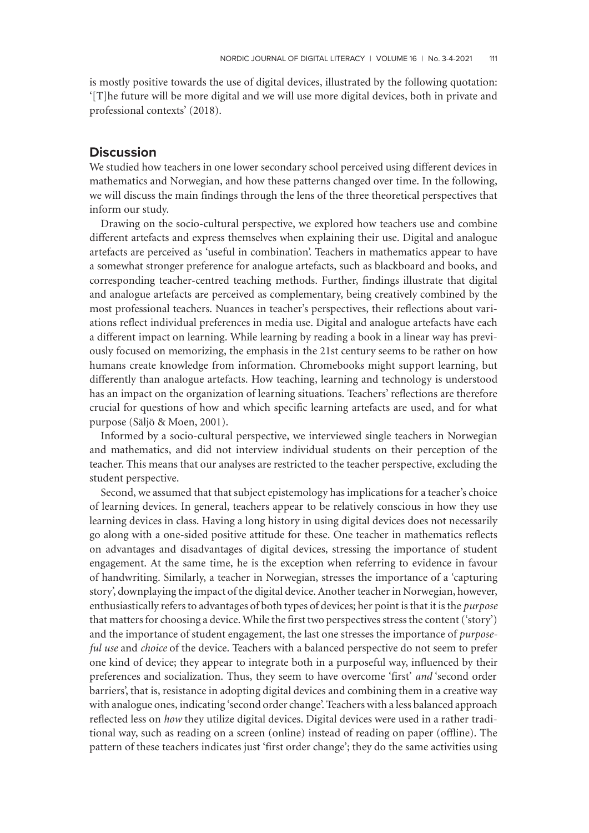is mostly positive towards the use of digital devices, illustrated by the following quotation: '[T]he future will be more digital and we will use more digital devices, both in private and professional contexts' (2018).

# **Discussion**

We studied how teachers in one lower secondary school perceived using different devices in mathematics and Norwegian, and how these patterns changed over time. In the following, we will discuss the main findings through the lens of the three theoretical perspectives that inform our study.

Drawing on the socio-cultural perspective, we explored how teachers use and combine different artefacts and express themselves when explaining their use. Digital and analogue artefacts are perceived as 'useful in combination'. Teachers in mathematics appear to have a somewhat stronger preference for analogue artefacts, such as blackboard and books, and corresponding teacher-centred teaching methods. Further, findings illustrate that digital and analogue artefacts are perceived as complementary, being creatively combined by the most professional teachers. Nuances in teacher's perspectives, their reflections about variations reflect individual preferences in media use. Digital and analogue artefacts have each a different impact on learning. While learning by reading a book in a linear way has previously focused on memorizing, the emphasis in the 21st century seems to be rather on how humans create knowledge from information. Chromebooks might support learning, but differently than analogue artefacts. How teaching, learning and technology is understood has an impact on the organization of learning situations. Teachers' reflections are therefore crucial for questions of how and which specific learning artefacts are used, and for what purpose (Säljö & Moen, 2001).

Informed by a socio-cultural perspective, we interviewed single teachers in Norwegian and mathematics, and did not interview individual students on their perception of the teacher. This means that our analyses are restricted to the teacher perspective, excluding the student perspective.

Second, we assumed that that subject epistemology has implications for a teacher's choice of learning devices. In general, teachers appear to be relatively conscious in how they use learning devices in class. Having a long history in using digital devices does not necessarily go along with a one-sided positive attitude for these. One teacher in mathematics reflects on advantages and disadvantages of digital devices, stressing the importance of student engagement. At the same time, he is the exception when referring to evidence in favour of handwriting. Similarly, a teacher in Norwegian, stresses the importance of a 'capturing story', downplaying the impact of the digital device. Another teacher in Norwegian, however, enthusiastically refers to advantages of both types of devices; her point is that it is the *purpose* that matters for choosing a device. While the first two perspectives stress the content ('story') and the importance of student engagement, the last one stresses the importance of *purposeful use* and *choice* of the device. Teachers with a balanced perspective do not seem to prefer one kind of device; they appear to integrate both in a purposeful way, influenced by their preferences and socialization. Thus, they seem to have overcome 'first' *and* 'second order barriers', that is, resistance in adopting digital devices and combining them in a creative way with analogue ones, indicating 'second order change'. Teachers with a less balanced approach reflected less on *how* they utilize digital devices. Digital devices were used in a rather traditional way, such as reading on a screen (online) instead of reading on paper (offline). The pattern of these teachers indicates just 'first order change'; they do the same activities using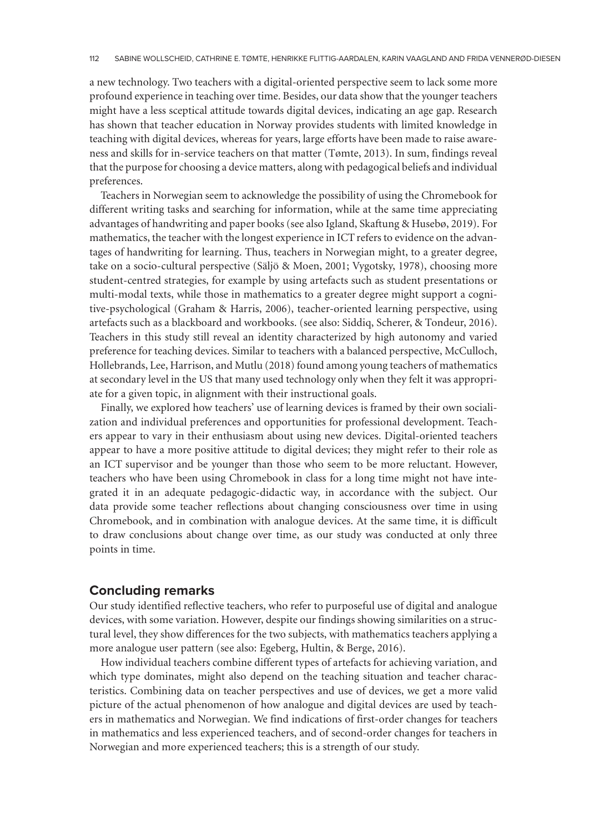a new technology. Two teachers with a digital-oriented perspective seem to lack some more profound experience in teaching over time. Besides, our data show that the younger teachers might have a less sceptical attitude towards digital devices, indicating an age gap. Research has shown that teacher education in Norway provides students with limited knowledge in teaching with digital devices, whereas for years, large efforts have been made to raise awareness and skills for in-service teachers on that matter (Tømte, 2013). In sum, findings reveal that the purpose for choosing a device matters, along with pedagogical beliefs and individual preferences.

Teachers in Norwegian seem to acknowledge the possibility of using the Chromebook for different writing tasks and searching for information, while at the same time appreciating advantages of handwriting and paper books (see also Igland, Skaftung & Husebø, 2019). For mathematics, the teacher with the longest experience in ICT refers to evidence on the advantages of handwriting for learning. Thus, teachers in Norwegian might, to a greater degree, take on a socio-cultural perspective (Säljö & Moen, 2001; Vygotsky, 1978), choosing more student-centred strategies, for example by using artefacts such as student presentations or multi-modal texts, while those in mathematics to a greater degree might support a cognitive-psychological (Graham & Harris, 2006), teacher-oriented learning perspective, using artefacts such as a blackboard and workbooks. (see also: Siddiq, Scherer, & Tondeur, 2016). Teachers in this study still reveal an identity characterized by high autonomy and varied preference for teaching devices. Similar to teachers with a balanced perspective, McCulloch, Hollebrands, Lee, Harrison, and Mutlu (2018) found among young teachers of mathematics at secondary level in the US that many used technology only when they felt it was appropriate for a given topic, in alignment with their instructional goals.

Finally, we explored how teachers' use of learning devices is framed by their own socialization and individual preferences and opportunities for professional development. Teachers appear to vary in their enthusiasm about using new devices. Digital-oriented teachers appear to have a more positive attitude to digital devices; they might refer to their role as an ICT supervisor and be younger than those who seem to be more reluctant. However, teachers who have been using Chromebook in class for a long time might not have integrated it in an adequate pedagogic-didactic way, in accordance with the subject. Our data provide some teacher reflections about changing consciousness over time in using Chromebook, and in combination with analogue devices. At the same time, it is difficult to draw conclusions about change over time, as our study was conducted at only three points in time.

# **Concluding remarks**

Our study identified reflective teachers, who refer to purposeful use of digital and analogue devices, with some variation. However, despite our findings showing similarities on a structural level, they show differences for the two subjects, with mathematics teachers applying a more analogue user pattern (see also: Egeberg, Hultin, & Berge, 2016).

How individual teachers combine different types of artefacts for achieving variation, and which type dominates, might also depend on the teaching situation and teacher characteristics. Combining data on teacher perspectives and use of devices, we get a more valid picture of the actual phenomenon of how analogue and digital devices are used by teachers in mathematics and Norwegian. We find indications of first-order changes for teachers in mathematics and less experienced teachers, and of second-order changes for teachers in Norwegian and more experienced teachers; this is a strength of our study.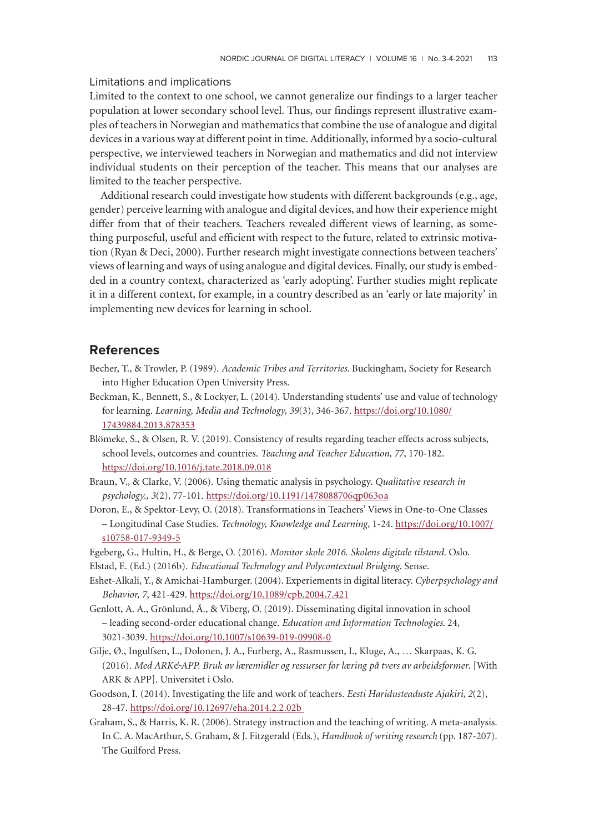## Limitations and implications

Limited to the context to one school, we cannot generalize our findings to a larger teacher population at lower secondary school level. Thus, our findings represent illustrative examples of teachers in Norwegian and mathematics that combine the use of analogue and digital devices in a various way at different point in time. Additionally, informed by a socio-cultural perspective, we interviewed teachers in Norwegian and mathematics and did not interview individual students on their perception of the teacher. This means that our analyses are limited to the teacher perspective.

Additional research could investigate how students with different backgrounds (e.g., age, gender) perceive learning with analogue and digital devices, and how their experience might differ from that of their teachers. Teachers revealed different views of learning, as something purposeful, useful and efficient with respect to the future, related to extrinsic motivation (Ryan & Deci, 2000). Further research might investigate connections between teachers' views of learning and ways of using analogue and digital devices. Finally, our study is embedded in a country context, characterized as 'early adopting'. Further studies might replicate it in a different context, for example, in a country described as an 'early or late majority' in implementing new devices for learning in school.

# **References**

- Becher, T., & Trowler, P. (1989). *Academic Tribes and Territories*. Buckingham, Society for Research into Higher Education Open University Press.
- Beckman, K., Bennett, S., & Lockyer, L. (2014). Understanding students' use and value of technology for learning. *Learning, Media and Technology, 39*(3), 346-367. [https://doi.org/10.1080/](https://doi.org/10.1080/17439884.2013.878353) [17439884.2013.878353](https://doi.org/10.1080/17439884.2013.878353)
- Blömeke, S., & Olsen, R. V. (2019). Consistency of results regarding teacher effects across subjects, school levels, outcomes and countries. *Teaching and Teacher Education, 77*, 170-182. <https://doi.org/10.1016/j.tate.2018.09.018>
- Braun, V., & Clarke, V. (2006). Using thematic analysis in psychology. *Qualitative research in psychology., 3*(2), 77-101. <https://doi.org/10.1191/1478088706qp063oa>
- Doron, E., & Spektor-Levy, O. (2018). Transformations in Teachers' Views in One-to-One Classes – Longitudinal Case Studies. *Technology, Knowledge and Learning*, 1-24. [https://doi.org/10.1007/](https://doi.org/10.1007/s10758-017-9349-5) [s10758-017-9349-5](https://doi.org/10.1007/s10758-017-9349-5)
- Egeberg, G., Hultin, H., & Berge, O. (2016). *Monitor skole 2016. Skolens digitale tilstand*. Oslo.
- Elstad, E. (Ed.) (2016b). *Educational Technology and Polycontextual Bridging*. Sense.
- Eshet-Alkali, Y., & Amichai-Hamburger. (2004). Experiements in digital literacy. *Cyberpsychology and Behavior, 7*, 421-429. <https://doi.org/10.1089/cpb.2004.7.421>
- Genlott, A. A., Grönlund, Å., & Viberg, O. (2019). Disseminating digital innovation in school – leading second-order educational change. *Education and Information Technologies*. 24, 3021-3039. <https://doi.org/10.1007/s10639-019-09908-0>
- Gilje, Ø., Ingulfsen, L., Dolonen, J. A., Furberg, A., Rasmussen, I., Kluge, A., … Skarpaas, K. G. (2016). *Med ARK&APP. Bruk av læremidler og ressurser for læring på tvers av arbeidsformer*. [With ARK & APP]. Universitet i Oslo.
- Goodson, I. (2014). Investigating the life and work of teachers. *Eesti Haridusteaduste Ajakiri, 2*(2), 28-47. <https://doi.org/10.12697/eha.2014.2.2.02b>
- Graham, S., & Harris, K. R. (2006). Strategy instruction and the teaching of writing. A meta-analysis. In C. A. MacArthur, S. Graham, & J. Fitzgerald (Eds.), *Handbook of writing research* (pp. 187-207). The Guilford Press.